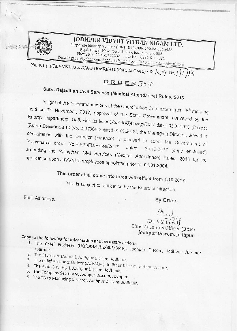

 $\mathcal{F}(\mathcal{G})=\mathcal{F}(\mathcal{G})$ 

## JODHPUR VIDYUT VITRAN NIGAM LTD.

Corporate Identity Number (CIN) -U40109RJ2000SGC016483 Regd. Office: New Power House, Jodhpur- 342003 Phone No: 0291-2742232 : Fax No: 0291-5106031 E-mail: caoar@yahoo.com / caobrju@gmail.com Web site: www.jdvvnl.com

No. F.1 ()/Jd.VVNL /Ju. /CAO (B&R)/AO (Estt. & Cont.) / D.  $/5\frac{y}{1!}$  Dt.  $/$   $/$   $/$ 

#### ORDER307

# Sub:- Rajasthan Civil Services (Medical Attendance) Rules, 2013

In light of the recommendations of the Coordination Committee in its 8<sup>th</sup> meeting held on 7<sup>th</sup> November, 2017, approval of the State Government, conveyed by the Energy Department, GoR vide its letter No.F.4(43)Energy/2017 dated 01.01.2018 (Finance (Rules) Department ID No. 211700442 dated 01.01.2018), the Managing Director, Jdvvnl in consultation with the Director (Finance) is pleased to adopt the Government of Rajasthan's order No.F.6(9)FD/Rules/2017 dated 30.10.2017 (copy enclosed) amending the Rajasthan Civil Services (Medical Attendance) Rules, 2013 for its application upon JdVVNL's employees appointed prior to 01.01.2004.

## This order shall come into force with effect from 1.10.2017.

This is subject to ratification by the Board of Directors.

Encl: As above.

By Order,

#### $\begin{array}{c}\n\bigoplus_{c}$ <br>
(Dr. S.K. Goyal) Chief Accounts Officer (B&R) Jodhpur Discom, Jodhpur

## Copy to the following for information and necessary action:-

- 1. The Chief Engineer (HQ/O&M-JDZ/BKZ/BMR), Jodhpur Discom, Jodhpur /Bikaner
- 2. The Secretary (Admn.), Jodhpur Discom, Jodhpur.
- 
- 3. The Chief Accounts Officer (IA/W&M), Jodhpur Discom, Jodhpur/Jaipur. 4. The Addl. S.P. (Vig.), Jodhpur Discom, Jodhpur.
- 
- 5. The Company Secretary, Jodhpur Discom, Jodhpur. 6. The TA to Managing Director, Jodhpur Discom, Jodhpur.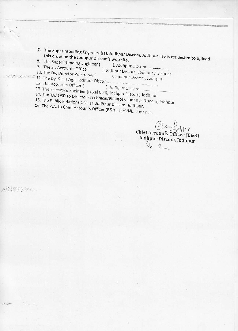- 7. The Superintending Engineer (IT), Jodhpur Discom, Jodhpur. He is requested to upload this order on the Jodhpur Discom's web site.
- 8. The Superintending Engineer ( 9. The Sr. Accounts Officer (
	- ), Jodhpur Discom, ..................
- 10. The Dy. Director Personnel (
- ), Jodhpur Discom, Jodhpur / Bikaner.
- 

 $\mathbb{P}^{\mathcal{L}}(\mathcal{F}^{\mathcal{L}}_{\mathcal{L}}(\mathcal{L}^{\mathcal{L}}_{\mathcal{L}}(\mathcal{L}^{\mathcal{L}}_{\mathcal{L}}(\mathcal{L}^{\mathcal{L}}_{\mathcal{L}})^{\mathcal{L}}_{\mathcal{L}}))$ 

AMARE STRACTS

), Jodhpur Discom, Jodhpur.

- 12. The Accounts Officer (
	- 13. The Executive Engineer (Legal Cell), Jodhpur Discom, Jodhpur.
	-
	- 14. The TA/OSD to Director (Technical/Finance), Jodhpur Discom, Jodhpur. 15. The Public Relations Officer, Jodhpur Discom, Jodhpur.
	- 16. The P.A. to Chief Accounts Officer (B&R), JdVVNL, Jodhpur.

Chief Accounts Officer (B&R) Jodhpur Discom, Jodhpur  $Q_{\nu}$  $\eta$